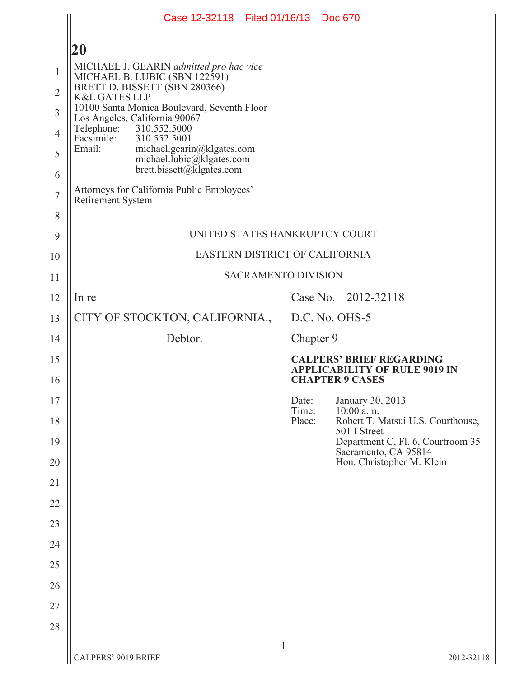|                     | Case 12-32118 Filed 01/16/13 Doc 670                                                           |                 |                     |                                                                                                   |  |  |
|---------------------|------------------------------------------------------------------------------------------------|-----------------|---------------------|---------------------------------------------------------------------------------------------------|--|--|
|                     | <b>20</b>                                                                                      |                 |                     |                                                                                                   |  |  |
| $\mathbf{1}$        | MICHAEL J. GEARIN admitted pro hac vice                                                        |                 |                     |                                                                                                   |  |  |
| $\overline{2}$      | MICHAEL B. LUBIC (SBN 122591)<br>BRETT D. BISSETT (SBN 280366)<br><b>K&amp;L GATES LLP</b>     |                 |                     |                                                                                                   |  |  |
| $\overline{3}$      | 10100 Santa Monica Boulevard, Seventh Floor<br>Los Angeles, California 90067                   |                 |                     |                                                                                                   |  |  |
| $\overline{4}$      | Telephone:<br>310.552.5000<br>Facsimile: 310.552.5001                                          |                 |                     |                                                                                                   |  |  |
| 5                   | Email:<br>michael.gearin@klgates.com<br>michael.lubic@klgates.com<br>brett.bissett@klgates.com |                 |                     |                                                                                                   |  |  |
| 6<br>$\overline{7}$ | Attorneys for California Public Employees'<br>Retirement System                                |                 |                     |                                                                                                   |  |  |
| 8                   |                                                                                                |                 |                     |                                                                                                   |  |  |
| 9                   | UNITED STATES BANKRUPTCY COURT                                                                 |                 |                     |                                                                                                   |  |  |
| 10                  | EASTERN DISTRICT OF CALIFORNIA                                                                 |                 |                     |                                                                                                   |  |  |
| 11                  | <b>SACRAMENTO DIVISION</b>                                                                     |                 |                     |                                                                                                   |  |  |
| 12                  | In re                                                                                          |                 | Case No. 2012-32118 |                                                                                                   |  |  |
| 13                  | CITY OF STOCKTON, CALIFORNIA.,                                                                 |                 |                     | D.C. No. OHS-5                                                                                    |  |  |
| 14                  | Debtor.                                                                                        | Chapter 9       |                     |                                                                                                   |  |  |
| 15<br>16            |                                                                                                |                 |                     | <b>CALPERS' BRIEF REGARDING</b><br><b>APPLICABILITY OF RULE 9019 IN</b><br><b>CHAPTER 9 CASES</b> |  |  |
| 17                  |                                                                                                | Date:           |                     | January 30, 2013                                                                                  |  |  |
| 18                  |                                                                                                | Time:<br>Place: |                     | 10:00 a.m.<br>Robert T. Matsui U.S. Courthouse,                                                   |  |  |
| 19                  |                                                                                                |                 |                     | 501 I Street<br>Department C, Fl. 6, Courtroom 35                                                 |  |  |
| 20                  |                                                                                                |                 |                     | Sacramento, CA 95814<br>Hon. Christopher M. Klein                                                 |  |  |
| 21                  |                                                                                                |                 |                     |                                                                                                   |  |  |
| 22                  |                                                                                                |                 |                     |                                                                                                   |  |  |
| 23                  |                                                                                                |                 |                     |                                                                                                   |  |  |
| 24                  |                                                                                                |                 |                     |                                                                                                   |  |  |
| 25                  |                                                                                                |                 |                     |                                                                                                   |  |  |
| 26                  |                                                                                                |                 |                     |                                                                                                   |  |  |
| 27                  |                                                                                                |                 |                     |                                                                                                   |  |  |
| 28                  |                                                                                                |                 |                     |                                                                                                   |  |  |
|                     | CALPERS' 9019 BRIEF                                                                            | $\mathbf{1}$    |                     | 2012-32118                                                                                        |  |  |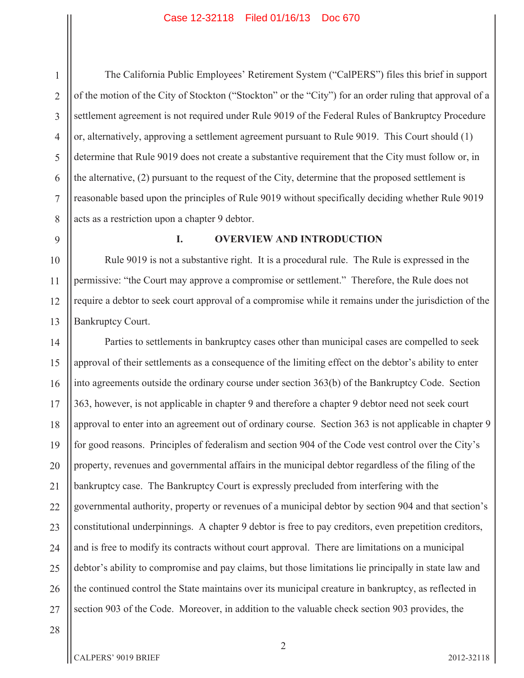The California Public Employees' Retirement System ("CalPERS") files this brief in support of the motion of the City of Stockton ("Stockton" or the "City") for an order ruling that approval of a settlement agreement is not required under Rule 9019 of the Federal Rules of Bankruptcy Procedure or, alternatively, approving a settlement agreement pursuant to Rule 9019. This Court should (1) determine that Rule 9019 does not create a substantive requirement that the City must follow or, in the alternative, (2) pursuant to the request of the City, determine that the proposed settlement is reasonable based upon the principles of Rule 9019 without specifically deciding whether Rule 9019 acts as a restriction upon a chapter 9 debtor.

9

10

11

12

13

1

2

3

4

5

6

7

8

## **I. OVERVIEW AND INTRODUCTION**

Rule 9019 is not a substantive right. It is a procedural rule. The Rule is expressed in the permissive: "the Court may approve a compromise or settlement." Therefore, the Rule does not require a debtor to seek court approval of a compromise while it remains under the jurisdiction of the Bankruptcy Court.

14 15 16 17 18 19 20 21 22 23 24 25 26 27 Parties to settlements in bankruptcy cases other than municipal cases are compelled to seek approval of their settlements as a consequence of the limiting effect on the debtor's ability to enter into agreements outside the ordinary course under section 363(b) of the Bankruptcy Code. Section 363, however, is not applicable in chapter 9 and therefore a chapter 9 debtor need not seek court approval to enter into an agreement out of ordinary course. Section 363 is not applicable in chapter 9 for good reasons. Principles of federalism and section 904 of the Code vest control over the City's property, revenues and governmental affairs in the municipal debtor regardless of the filing of the bankruptcy case. The Bankruptcy Court is expressly precluded from interfering with the governmental authority, property or revenues of a municipal debtor by section 904 and that section's constitutional underpinnings. A chapter 9 debtor is free to pay creditors, even prepetition creditors, and is free to modify its contracts without court approval. There are limitations on a municipal debtor's ability to compromise and pay claims, but those limitations lie principally in state law and the continued control the State maintains over its municipal creature in bankruptcy, as reflected in section 903 of the Code. Moreover, in addition to the valuable check section 903 provides, the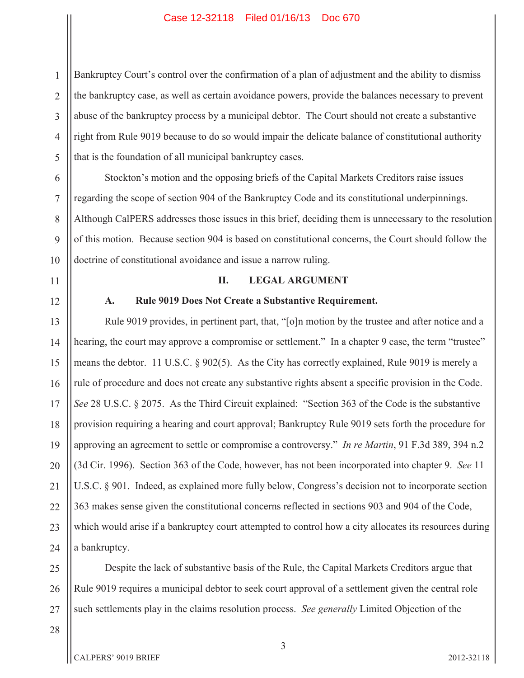1 2 3 4 5 Bankruptcy Court's control over the confirmation of a plan of adjustment and the ability to dismiss the bankruptcy case, as well as certain avoidance powers, provide the balances necessary to prevent abuse of the bankruptcy process by a municipal debtor. The Court should not create a substantive right from Rule 9019 because to do so would impair the delicate balance of constitutional authority that is the foundation of all municipal bankruptcy cases.

10 Stockton's motion and the opposing briefs of the Capital Markets Creditors raise issues regarding the scope of section 904 of the Bankruptcy Code and its constitutional underpinnings. Although CalPERS addresses those issues in this brief, deciding them is unnecessary to the resolution of this motion. Because section 904 is based on constitutional concerns, the Court should follow the doctrine of constitutional avoidance and issue a narrow ruling.

## **II. LEGAL ARGUMENT**

## **A. Rule 9019 Does Not Create a Substantive Requirement.**

Rule 9019 provides, in pertinent part, that, "[o]n motion by the trustee and after notice and a hearing, the court may approve a compromise or settlement." In a chapter 9 case, the term "trustee" means the debtor. 11 U.S.C. § 902(5). As the City has correctly explained, Rule 9019 is merely a rule of procedure and does not create any substantive rights absent a specific provision in the Code. *See* 28 U.S.C. § 2075. As the Third Circuit explained: "Section 363 of the Code is the substantive provision requiring a hearing and court approval; Bankruptcy Rule 9019 sets forth the procedure for approving an agreement to settle or compromise a controversy." *In re Martin*, 91 F.3d 389, 394 n.2 (3d Cir. 1996). Section 363 of the Code, however, has not been incorporated into chapter 9. *See* 11 U.S.C. § 901. Indeed, as explained more fully below, Congress's decision not to incorporate section 363 makes sense given the constitutional concerns reflected in sections 903 and 904 of the Code, which would arise if a bankruptcy court attempted to control how a city allocates its resources during a bankruptcy.

25 26 27 Despite the lack of substantive basis of the Rule, the Capital Markets Creditors argue that Rule 9019 requires a municipal debtor to seek court approval of a settlement given the central role such settlements play in the claims resolution process. *See generally* Limited Objection of the

28

6

7

8

9

11

12

13

14

15

16

17

18

19

20

21

22

23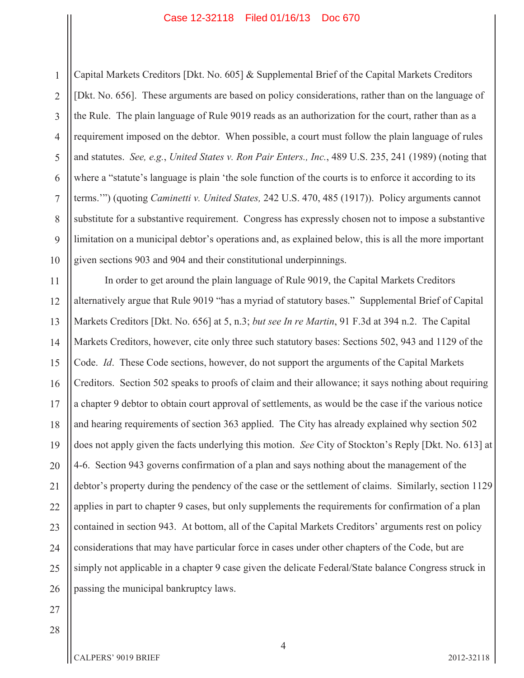1 2 3 4 5 6 7 8 9 10 Capital Markets Creditors [Dkt. No. 605] & Supplemental Brief of the Capital Markets Creditors [Dkt. No. 656]. These arguments are based on policy considerations, rather than on the language of the Rule. The plain language of Rule 9019 reads as an authorization for the court, rather than as a requirement imposed on the debtor. When possible, a court must follow the plain language of rules and statutes. *See, e.g.*, *United States v. Ron Pair Enters., Inc.*, 489 U.S. 235, 241 (1989) (noting that where a "statute's language is plain 'the sole function of the courts is to enforce it according to its terms.'") (quoting *Caminetti v. United States,* 242 U.S. 470, 485 (1917)). Policy arguments cannot substitute for a substantive requirement. Congress has expressly chosen not to impose a substantive limitation on a municipal debtor's operations and, as explained below, this is all the more important given sections 903 and 904 and their constitutional underpinnings.

11 12 13 14 15 16 17 18 19 20 21 22 23 24 25 26 In order to get around the plain language of Rule 9019, the Capital Markets Creditors alternatively argue that Rule 9019 "has a myriad of statutory bases." Supplemental Brief of Capital Markets Creditors [Dkt. No. 656] at 5, n.3; *but see In re Martin*, 91 F.3d at 394 n.2. The Capital Markets Creditors, however, cite only three such statutory bases: Sections 502, 943 and 1129 of the Code. *Id*. These Code sections, however, do not support the arguments of the Capital Markets Creditors. Section 502 speaks to proofs of claim and their allowance; it says nothing about requiring a chapter 9 debtor to obtain court approval of settlements, as would be the case if the various notice and hearing requirements of section 363 applied. The City has already explained why section 502 does not apply given the facts underlying this motion. *See* City of Stockton's Reply [Dkt. No. 613] at 4-6. Section 943 governs confirmation of a plan and says nothing about the management of the debtor's property during the pendency of the case or the settlement of claims. Similarly, section 1129 applies in part to chapter 9 cases, but only supplements the requirements for confirmation of a plan contained in section 943. At bottom, all of the Capital Markets Creditors' arguments rest on policy considerations that may have particular force in cases under other chapters of the Code, but are simply not applicable in a chapter 9 case given the delicate Federal/State balance Congress struck in passing the municipal bankruptcy laws.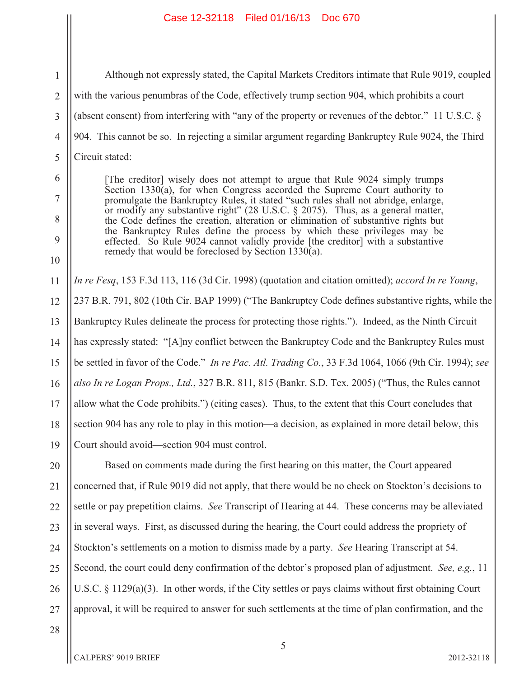Although not expressly stated, the Capital Markets Creditors intimate that Rule 9019, coupled with the various penumbras of the Code, effectively trump section 904, which prohibits a court (absent consent) from interfering with "any of the property or revenues of the debtor." 11 U.S.C. § 904. This cannot be so. In rejecting a similar argument regarding Bankruptcy Rule 9024, the Third Circuit stated:

[The creditor] wisely does not attempt to argue that Rule 9024 simply trumps Section 1330(a), for when Congress accorded the Supreme Court authority to promulgate the Bankruptcy Rules, it stated "such rules shall not abridge, enlarge, or modify any substantive right" (28 U.S.C. § 2075). Thus, as a general matter, the Code defines the creation, alteration or elimination of substantive rights but the Bankruptcy Rules define the process by which these privileges may be effected. So Rule 9024 cannot validly provide [the creditor] with a substantive remedy that would be foreclosed by Section 1330 $\overline{a}$ ).

11 12 13 14 15 16 17 18 19 *In re Fesq*, 153 F.3d 113, 116 (3d Cir. 1998) (quotation and citation omitted); *accord In re Young*, 237 B.R. 791, 802 (10th Cir. BAP 1999) ("The Bankruptcy Code defines substantive rights, while the Bankruptcy Rules delineate the process for protecting those rights."). Indeed, as the Ninth Circuit has expressly stated: "[A]ny conflict between the Bankruptcy Code and the Bankruptcy Rules must be settled in favor of the Code." *In re Pac. Atl. Trading Co.*, 33 F.3d 1064, 1066 (9th Cir. 1994); *see also In re Logan Props., Ltd.*, 327 B.R. 811, 815 (Bankr. S.D. Tex. 2005) ("Thus, the Rules cannot allow what the Code prohibits.") (citing cases). Thus, to the extent that this Court concludes that section 904 has any role to play in this motion—a decision, as explained in more detail below, this Court should avoid—section 904 must control.

20 21 22 23 24 25 26 27 Based on comments made during the first hearing on this matter, the Court appeared concerned that, if Rule 9019 did not apply, that there would be no check on Stockton's decisions to settle or pay prepetition claims. *See* Transcript of Hearing at 44. These concerns may be alleviated in several ways. First, as discussed during the hearing, the Court could address the propriety of Stockton's settlements on a motion to dismiss made by a party. *See* Hearing Transcript at 54. Second, the court could deny confirmation of the debtor's proposed plan of adjustment. *See, e.g.*, 11 U.S.C. § 1129(a)(3). In other words, if the City settles or pays claims without first obtaining Court approval, it will be required to answer for such settlements at the time of plan confirmation, and the

28

1

2

3

4

5

6

7

8

9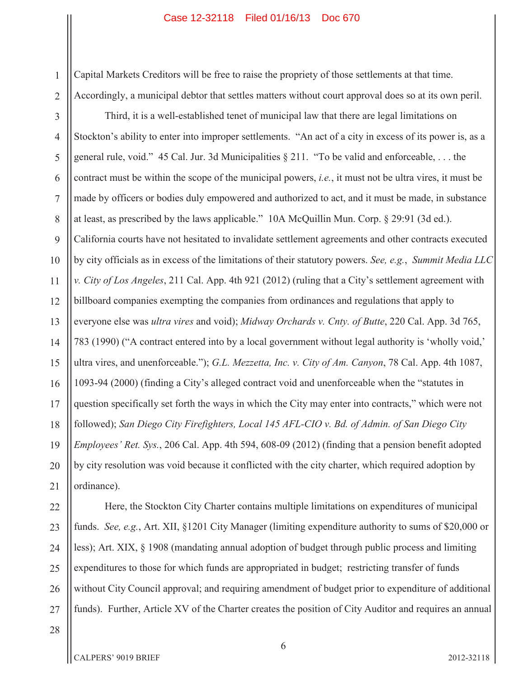Capital Markets Creditors will be free to raise the propriety of those settlements at that time. Accordingly, a municipal debtor that settles matters without court approval does so at its own peril.

4 5 6 7 8 9 10 11 12 13 14 15 16 17 18 19 20 21 Third, it is a well-established tenet of municipal law that there are legal limitations on Stockton's ability to enter into improper settlements. "An act of a city in excess of its power is, as a general rule, void." 45 Cal. Jur. 3d Municipalities § 211. "To be valid and enforceable, . . . the contract must be within the scope of the municipal powers, *i.e.*, it must not be ultra vires, it must be made by officers or bodies duly empowered and authorized to act, and it must be made, in substance at least, as prescribed by the laws applicable." 10A McQuillin Mun. Corp. § 29:91 (3d ed.). California courts have not hesitated to invalidate settlement agreements and other contracts executed by city officials as in excess of the limitations of their statutory powers. *See, e.g.*, *Summit Media LLC v. City of Los Angeles*, 211 Cal. App. 4th 921 (2012) (ruling that a City's settlement agreement with billboard companies exempting the companies from ordinances and regulations that apply to everyone else was *ultra vires* and void); *Midway Orchards v. Cnty. of Butte*, 220 Cal. App. 3d 765, 783 (1990) ("A contract entered into by a local government without legal authority is 'wholly void,' ultra vires, and unenforceable."); *G.L. Mezzetta, Inc. v. City of Am. Canyon*, 78 Cal. App. 4th 1087, 1093-94 (2000) (finding a City's alleged contract void and unenforceable when the "statutes in question specifically set forth the ways in which the City may enter into contracts," which were not followed); *San Diego City Firefighters, Local 145 AFL-CIO v. Bd. of Admin. of San Diego City Employees' Ret. Sys.*, 206 Cal. App. 4th 594, 608-09 (2012) (finding that a pension benefit adopted by city resolution was void because it conflicted with the city charter, which required adoption by ordinance).

22 23 24 25 26 27 Here, the Stockton City Charter contains multiple limitations on expenditures of municipal funds. *See, e.g.*, Art. XII, §1201 City Manager (limiting expenditure authority to sums of \$20,000 or less); Art. XIX, § 1908 (mandating annual adoption of budget through public process and limiting expenditures to those for which funds are appropriated in budget; restricting transfer of funds without City Council approval; and requiring amendment of budget prior to expenditure of additional funds). Further, Article XV of the Charter creates the position of City Auditor and requires an annual

1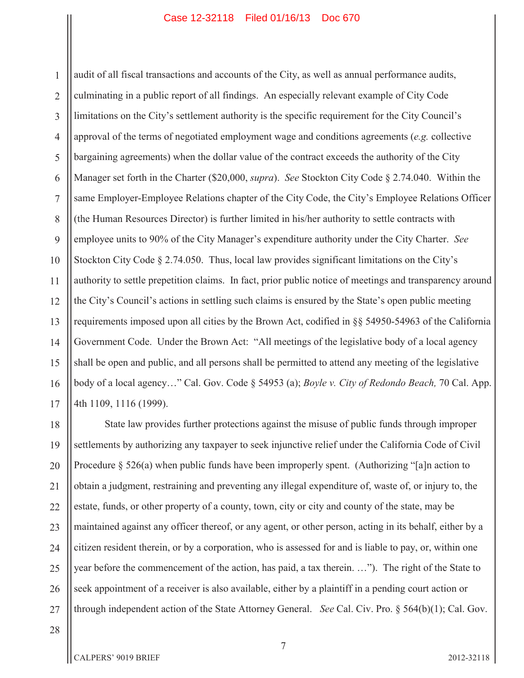1 2 3 4 5 6 7 8 9 10 11 12 13 14 15 16 17 audit of all fiscal transactions and accounts of the City, as well as annual performance audits, culminating in a public report of all findings. An especially relevant example of City Code limitations on the City's settlement authority is the specific requirement for the City Council's approval of the terms of negotiated employment wage and conditions agreements (*e.g.* collective bargaining agreements) when the dollar value of the contract exceeds the authority of the City Manager set forth in the Charter (\$20,000, *supra*). *See* Stockton City Code § 2.74.040. Within the same Employer-Employee Relations chapter of the City Code, the City's Employee Relations Officer (the Human Resources Director) is further limited in his/her authority to settle contracts with employee units to 90% of the City Manager's expenditure authority under the City Charter. *See* Stockton City Code § 2.74.050. Thus, local law provides significant limitations on the City's authority to settle prepetition claims. In fact, prior public notice of meetings and transparency around the City's Council's actions in settling such claims is ensured by the State's open public meeting requirements imposed upon all cities by the Brown Act, codified in §§ 54950-54963 of the California Government Code. Under the Brown Act: "All meetings of the legislative body of a local agency shall be open and public, and all persons shall be permitted to attend any meeting of the legislative body of a local agency…" Cal. Gov. Code § 54953 (a); *Boyle v. City of Redondo Beach,* 70 Cal. App. 4th 1109, 1116 (1999).

18 19 20 21 22 23 24 25 26 27 State law provides further protections against the misuse of public funds through improper settlements by authorizing any taxpayer to seek injunctive relief under the California Code of Civil Procedure § 526(a) when public funds have been improperly spent. (Authorizing "[a]n action to obtain a judgment, restraining and preventing any illegal expenditure of, waste of, or injury to, the estate, funds, or other property of a county, town, city or city and county of the state, may be maintained against any officer thereof, or any agent, or other person, acting in its behalf, either by a citizen resident therein, or by a corporation, who is assessed for and is liable to pay, or, within one year before the commencement of the action, has paid, a tax therein. …"). The right of the State to seek appointment of a receiver is also available, either by a plaintiff in a pending court action or through independent action of the State Attorney General. *See* Cal. Civ. Pro. § 564(b)(1); Cal. Gov.

28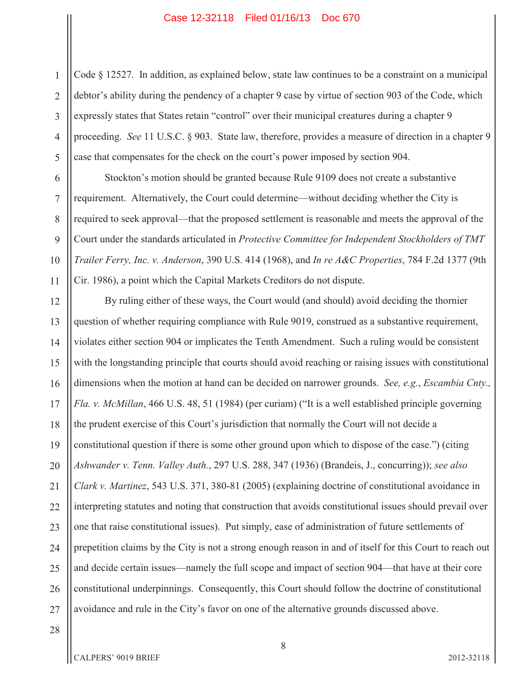1 2 3 4 5 Code § 12527. In addition, as explained below, state law continues to be a constraint on a municipal debtor's ability during the pendency of a chapter 9 case by virtue of section 903 of the Code, which expressly states that States retain "control" over their municipal creatures during a chapter 9 proceeding. *See* 11 U.S.C. § 903. State law, therefore, provides a measure of direction in a chapter 9 case that compensates for the check on the court's power imposed by section 904.

Stockton's motion should be granted because Rule 9109 does not create a substantive requirement. Alternatively, the Court could determine—without deciding whether the City is required to seek approval—that the proposed settlement is reasonable and meets the approval of the Court under the standards articulated in *Protective Committee for Independent Stockholders of TMT Trailer Ferry, Inc. v. Anderson*, 390 U.S. 414 (1968), and *In re A&C Properties*, 784 F.2d 1377 (9th Cir. 1986), a point which the Capital Markets Creditors do not dispute.

12 13 14 15 16 17 18 19 20 21 22 23 24 25 26 27 By ruling either of these ways, the Court would (and should) avoid deciding the thornier question of whether requiring compliance with Rule 9019, construed as a substantive requirement, violates either section 904 or implicates the Tenth Amendment. Such a ruling would be consistent with the longstanding principle that courts should avoid reaching or raising issues with constitutional dimensions when the motion at hand can be decided on narrower grounds. *See, e.g.*, *Escambia Cnty., Fla. v. McMillan*, 466 U.S. 48, 51 (1984) (per curiam) ("It is a well established principle governing the prudent exercise of this Court's jurisdiction that normally the Court will not decide a constitutional question if there is some other ground upon which to dispose of the case.") (citing *Ashwander v. Tenn. Valley Auth.*, 297 U.S. 288, 347 (1936) (Brandeis, J., concurring)); *see also Clark v. Martinez*, 543 U.S. 371, 380-81 (2005) (explaining doctrine of constitutional avoidance in interpreting statutes and noting that construction that avoids constitutional issues should prevail over one that raise constitutional issues). Put simply, ease of administration of future settlements of prepetition claims by the City is not a strong enough reason in and of itself for this Court to reach out and decide certain issues—namely the full scope and impact of section 904—that have at their core constitutional underpinnings. Consequently, this Court should follow the doctrine of constitutional avoidance and rule in the City's favor on one of the alternative grounds discussed above.

28

6

7

8

9

10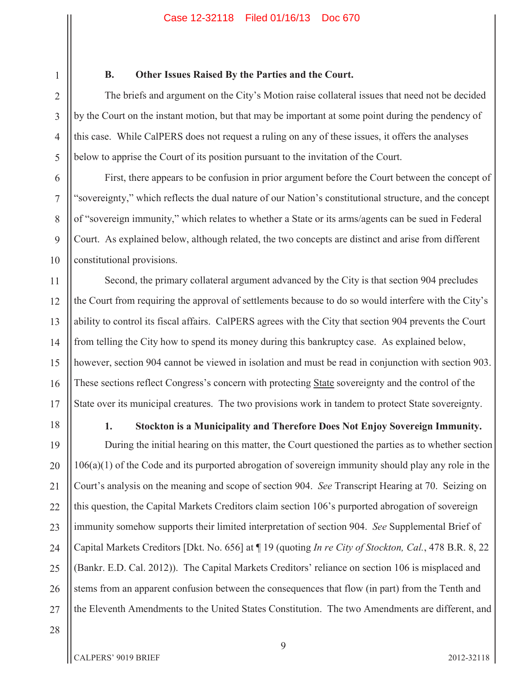**B. Other Issues Raised By the Parties and the Court.** 

The briefs and argument on the City's Motion raise collateral issues that need not be decided by the Court on the instant motion, but that may be important at some point during the pendency of this case. While CalPERS does not request a ruling on any of these issues, it offers the analyses below to apprise the Court of its position pursuant to the invitation of the Court.

First, there appears to be confusion in prior argument before the Court between the concept of "sovereignty," which reflects the dual nature of our Nation's constitutional structure, and the concept of "sovereign immunity," which relates to whether a State or its arms/agents can be sued in Federal Court. As explained below, although related, the two concepts are distinct and arise from different constitutional provisions.

Second, the primary collateral argument advanced by the City is that section 904 precludes the Court from requiring the approval of settlements because to do so would interfere with the City's ability to control its fiscal affairs. CalPERS agrees with the City that section 904 prevents the Court from telling the City how to spend its money during this bankruptcy case. As explained below, however, section 904 cannot be viewed in isolation and must be read in conjunction with section 903. These sections reflect Congress's concern with protecting State sovereignty and the control of the State over its municipal creatures. The two provisions work in tandem to protect State sovereignty.

1

2

3

4

5

6

7

8

9

10

11

12

13

14

15

**1. Stockton is a Municipality and Therefore Does Not Enjoy Sovereign Immunity.** 

During the initial hearing on this matter, the Court questioned the parties as to whether section 106(a)(1) of the Code and its purported abrogation of sovereign immunity should play any role in the Court's analysis on the meaning and scope of section 904. *See* Transcript Hearing at 70. Seizing on this question, the Capital Markets Creditors claim section 106's purported abrogation of sovereign immunity somehow supports their limited interpretation of section 904. *See* Supplemental Brief of Capital Markets Creditors [Dkt. No. 656] at ¶ 19 (quoting *In re City of Stockton, Cal.*, 478 B.R. 8, 22 (Bankr. E.D. Cal. 2012)). The Capital Markets Creditors' reliance on section 106 is misplaced and stems from an apparent confusion between the consequences that flow (in part) from the Tenth and the Eleventh Amendments to the United States Constitution. The two Amendments are different, and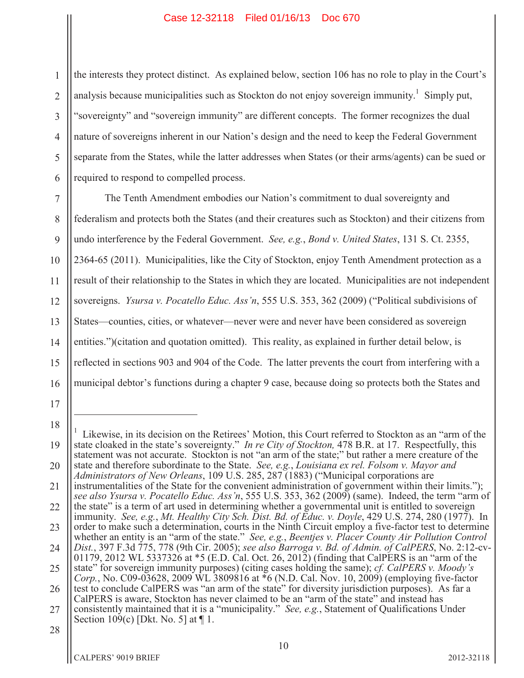1 2 3 4 5 6 the interests they protect distinct. As explained below, section 106 has no role to play in the Court's analysis because municipalities such as Stockton do not enjoy sovereign immunity.<sup>1</sup> Simply put, "sovereignty" and "sovereign immunity" are different concepts. The former recognizes the dual nature of sovereigns inherent in our Nation's design and the need to keep the Federal Government separate from the States, while the latter addresses when States (or their arms/agents) can be sued or required to respond to compelled process.

7 8 9 10 11 12 13 14 15 16 The Tenth Amendment embodies our Nation's commitment to dual sovereignty and federalism and protects both the States (and their creatures such as Stockton) and their citizens from undo interference by the Federal Government. *See, e.g.*, *Bond v. United States*, 131 S. Ct. 2355, 2364-65 (2011). Municipalities, like the City of Stockton, enjoy Tenth Amendment protection as a result of their relationship to the States in which they are located. Municipalities are not independent sovereigns. *Ysursa v. Pocatello Educ. Ass'n*, 555 U.S. 353, 362 (2009) ("Political subdivisions of States—counties, cities, or whatever—never were and never have been considered as sovereign entities.")(citation and quotation omitted). This reality, as explained in further detail below, is reflected in sections 903 and 904 of the Code. The latter prevents the court from interfering with a municipal debtor's functions during a chapter 9 case, because doing so protects both the States and

<sup>19</sup> 20 21 22 23 24 25 26 27 1 Likewise, in its decision on the Retirees' Motion, this Court referred to Stockton as an "arm of the state cloaked in the state's sovereignty." *In re City of Stockton,* 478 B.R. at 17. Respectfully, this statement was not accurate. Stockton is not "an arm of the state;" but rather a mere creature of the state and therefore subordinate to the State. *See, e.g.*, *Louisiana ex rel. Folsom v. Mayor and Administrators of New Orleans*, 109 U.S. 285, 287 (1883) ("Municipal corporations are instrumentalities of the State for the convenient administration of government within their limits."); *see also Ysursa v. Pocatello Educ. Ass'n*, 555 U.S. 353, 362 (2009) (same). Indeed, the term "arm of the state" is a term of art used in determining whether a governmental unit is entitled to sovereign immunity. *See, e.g.*, *Mt. Healthy City Sch. Dist. Bd. of Educ. v. Doyle*, 429 U.S. 274, 280 (1977). In order to make such a determination, courts in the Ninth Circuit employ a five-factor test to determine whether an entity is an "arm of the state." *See, e.g.*, *Beentjes v. Placer County Air Pollution Control Dist.*, 397 F.3d 775, 778 (9th Cir. 2005); *see also Barroga v. Bd. of Admin. of CalPERS*, No. 2:12-cv-01179, 2012 WL 5337326 at \*5 (E.D. Cal. Oct. 26, 2012) (finding that CalPERS is an "arm of the state" for sovereign immunity purposes) (citing cases holding the same); *cf. CalPERS v. Moody's Corp.*, No. C09-03628, 2009 WL 3809816 at \*6 (N.D. Cal. Nov. 10, 2009) (employing five-factor test to conclude CalPERS was "an arm of the state" for diversity jurisdiction purposes). As far a CalPERS is aware, Stockton has never claimed to be an "arm of the state" and instead has consistently maintained that it is a "municipality." *See, e.g.*, Statement of Qualifications Under Section 109(c) [Dkt. No. 5] at  $\P$  1.

<sup>28</sup>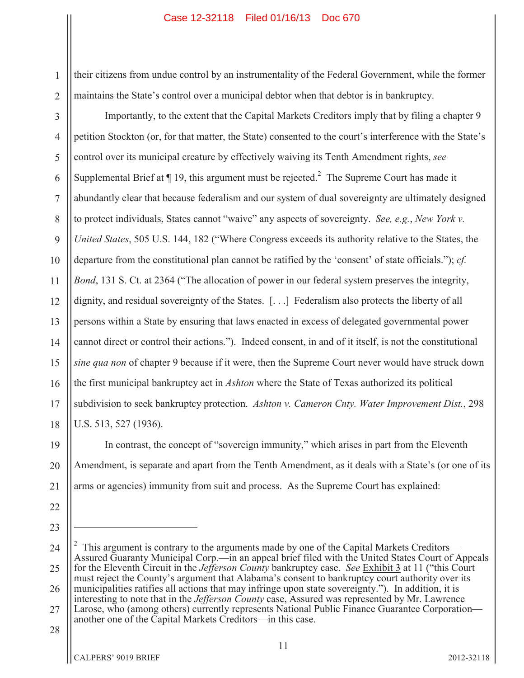1 2 their citizens from undue control by an instrumentality of the Federal Government, while the former maintains the State's control over a municipal debtor when that debtor is in bankruptcy.

3 4 5 6 7 8 9 10 11 12 13 14 15 16 17 18 Importantly, to the extent that the Capital Markets Creditors imply that by filing a chapter 9 petition Stockton (or, for that matter, the State) consented to the court's interference with the State's control over its municipal creature by effectively waiving its Tenth Amendment rights, *see* Supplemental Brief at  $\P$  19, this argument must be rejected.<sup>2</sup> The Supreme Court has made it abundantly clear that because federalism and our system of dual sovereignty are ultimately designed to protect individuals, States cannot "waive" any aspects of sovereignty. *See, e.g.*, *New York v. United States*, 505 U.S. 144, 182 ("Where Congress exceeds its authority relative to the States, the departure from the constitutional plan cannot be ratified by the 'consent' of state officials."); *cf. Bond*, 131 S. Ct. at 2364 ("The allocation of power in our federal system preserves the integrity, dignity, and residual sovereignty of the States. [. . .] Federalism also protects the liberty of all persons within a State by ensuring that laws enacted in excess of delegated governmental power cannot direct or control their actions."). Indeed consent, in and of it itself, is not the constitutional *sine qua non* of chapter 9 because if it were, then the Supreme Court never would have struck down the first municipal bankruptcy act in *Ashton* where the State of Texas authorized its political subdivision to seek bankruptcy protection. *Ashton v. Cameron Cnty. Water Improvement Dist.*, 298 U.S. 513, 527 (1936).

19 20 21 In contrast, the concept of "sovereign immunity," which arises in part from the Eleventh Amendment, is separate and apart from the Tenth Amendment, as it deals with a State's (or one of its arms or agencies) immunity from suit and process. As the Supreme Court has explained:

- 22
- 23

<sup>24</sup> 25 26 27 2 This argument is contrary to the arguments made by one of the Capital Markets Creditors— Assured Guaranty Municipal Corp.—in an appeal brief filed with the United States Court of Appeals for the Eleventh Circuit in the *Jefferson County* bankruptcy case. *See* Exhibit 3 at 11 ("this Court must reject the County's argument that Alabama's consent to bankruptcy court authority over its municipalities ratifies all actions that may infringe upon state sovereignty."). In addition, it is interesting to note that in the *Jefferson County* case, Assured was represented by Mr. Lawrence Larose, who (among others) currently represents National Public Finance Guarantee Corporation another one of the Capital Markets Creditors—in this case.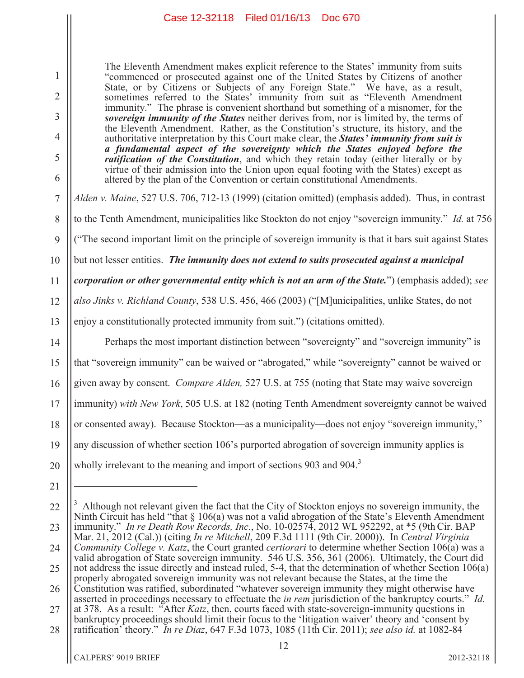The Eleventh Amendment makes explicit reference to the States' immunity from suits "commenced or prosecuted against one of the United States by Citizens of another State, or by Citizens or Subjects of any Foreign State." We have, as a result, sometimes referred to the States' immunity from suit as "Eleventh Amendment immunity." The phrase is convenient shorthand but something of a misnomer, for the *sovereign immunity of the States* neither derives from, nor is limited by, the terms of the Eleventh Amendment. Rather, as the Constitution's structure, its history, and the authoritative interpretation by this Court make clear, the *States' immunity from suit is a fundamental aspect of the sovereignty which the States enjoyed before the ratification of the Constitution*, and which they retain today (either literally or by virtue of their admission into the Union upon equal footing with the States) except as altered by the plan of the Convention or certain constitutional Amendments.

*Alden v. Maine*, 527 U.S. 706, 712-13 (1999) (citation omitted) (emphasis added). Thus, in contrast

to the Tenth Amendment, municipalities like Stockton do not enjoy "sovereign immunity." *Id.* at 756

9 ("The second important limit on the principle of sovereign immunity is that it bars suit against States

10 but not lesser entities. *The immunity does not extend to suits prosecuted against a municipal* 

11 *corporation or other governmental entity which is not an arm of the State.*") (emphasis added); *see* 

12 *also Jinks v. Richland County*, 538 U.S. 456, 466 (2003) ("[M]unicipalities, unlike States, do not

13 enjoy a constitutionally protected immunity from suit.") (citations omitted).

Perhaps the most important distinction between "sovereignty" and "sovereign immunity" is

15 that "sovereign immunity" can be waived or "abrogated," while "sovereignty" cannot be waived or

16 given away by consent. *Compare Alden,* 527 U.S. at 755 (noting that State may waive sovereign

17 immunity) *with New York*, 505 U.S. at 182 (noting Tenth Amendment sovereignty cannot be waived

18 or consented away). Because Stockton—as a municipality—does not enjoy "sovereign immunity,"

19 any discussion of whether section 106's purported abrogation of sovereign immunity applies is

20 wholly irrelevant to the meaning and import of sections 903 and 904.<sup>3</sup>

1

2

3

4

5

6

7

8

<sup>21</sup>

<sup>22</sup> 23 24 25 26 27 Although not relevant given the fact that the City of Stockton enjoys no sovereign immunity, the Ninth Circuit has held "that  $\S 106(a)$  was not a valid abrogation of the State's Eleventh Amendment immunity." *In re Death Row Records, Inc.*, No. 10-02574, 2012 WL 952292, at \*5 (9th Cir. BAP Mar. 21, 2012 (Cal.)) (citing *In re Mitchell*, 209 F.3d 1111 (9th Cir. 2000)). In *Central Virginia Community College v. Katz*, the Court granted *certiorari* to determine whether Section 106(a) was a valid abrogation of State sovereign immunity. 546 U.S. 356, 361 (2006). Ultimately, the Court did not address the issue directly and instead ruled, 5-4, that the determination of whether Section 106(a) properly abrogated sovereign immunity was not relevant because the States, at the time the Constitution was ratified, subordinated "whatever sovereign immunity they might otherwise have asserted in proceedings necessary to effectuate the *in rem* jurisdiction of the bankruptcy courts." *Id.* at 378. As a result: "After *Katz*, then, courts faced with state-sovereign-immunity questions in

<sup>28</sup> bankruptcy proceedings should limit their focus to the 'litigation waiver' theory and 'consent by ratification' theory." *In re Diaz*, 647 F.3d 1073, 1085 (11th Cir. 2011); *see also id.* at 1082-84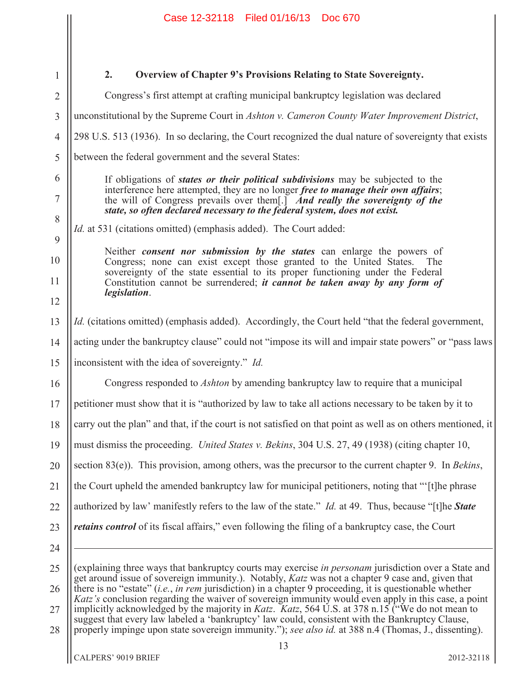| 1              | 2.<br>Overview of Chapter 9's Provisions Relating to State Sovereignty.                                                                                                                                                                                                                                                                                                                                                                                                                                                                                               |  |  |  |
|----------------|-----------------------------------------------------------------------------------------------------------------------------------------------------------------------------------------------------------------------------------------------------------------------------------------------------------------------------------------------------------------------------------------------------------------------------------------------------------------------------------------------------------------------------------------------------------------------|--|--|--|
| $\overline{2}$ | Congress's first attempt at crafting municipal bankruptcy legislation was declared                                                                                                                                                                                                                                                                                                                                                                                                                                                                                    |  |  |  |
| $\overline{3}$ | unconstitutional by the Supreme Court in Ashton v. Cameron County Water Improvement District,                                                                                                                                                                                                                                                                                                                                                                                                                                                                         |  |  |  |
| $\overline{4}$ | 298 U.S. 513 (1936). In so declaring, the Court recognized the dual nature of sovereignty that exists                                                                                                                                                                                                                                                                                                                                                                                                                                                                 |  |  |  |
| 5              | between the federal government and the several States:                                                                                                                                                                                                                                                                                                                                                                                                                                                                                                                |  |  |  |
| 6              | If obligations of <i>states or their political subdivisions</i> may be subjected to the                                                                                                                                                                                                                                                                                                                                                                                                                                                                               |  |  |  |
| 7              | interference here attempted, they are no longer free to manage their own affairs;<br>the will of Congress prevails over them[.] And really the sovereignty of the<br>state, so often declared necessary to the federal system, does not exist.                                                                                                                                                                                                                                                                                                                        |  |  |  |
| 8              | <i>Id.</i> at 531 (citations omitted) (emphasis added). The Court added:                                                                                                                                                                                                                                                                                                                                                                                                                                                                                              |  |  |  |
| 9              | Neither <i>consent nor submission by the states</i> can enlarge the powers of                                                                                                                                                                                                                                                                                                                                                                                                                                                                                         |  |  |  |
| 10             | Congress; none can exist except those granted to the United States.<br>The<br>sovereignty of the state essential to its proper functioning under the Federal                                                                                                                                                                                                                                                                                                                                                                                                          |  |  |  |
| 11             | Constitution cannot be surrendered; <i>it cannot be taken away by any form of</i><br><i>legislation.</i>                                                                                                                                                                                                                                                                                                                                                                                                                                                              |  |  |  |
| 12             |                                                                                                                                                                                                                                                                                                                                                                                                                                                                                                                                                                       |  |  |  |
| 13             | <i>Id.</i> (citations omitted) (emphasis added). Accordingly, the Court held "that the federal government,                                                                                                                                                                                                                                                                                                                                                                                                                                                            |  |  |  |
| 14             | acting under the bankruptcy clause" could not "impose its will and impair state powers" or "pass laws                                                                                                                                                                                                                                                                                                                                                                                                                                                                 |  |  |  |
| 15             | inconsistent with the idea of sovereignty." Id.                                                                                                                                                                                                                                                                                                                                                                                                                                                                                                                       |  |  |  |
| 16             | Congress responded to <i>Ashton</i> by amending bankruptcy law to require that a municipal                                                                                                                                                                                                                                                                                                                                                                                                                                                                            |  |  |  |
| 17             | petitioner must show that it is "authorized by law to take all actions necessary to be taken by it to                                                                                                                                                                                                                                                                                                                                                                                                                                                                 |  |  |  |
| 18             | carry out the plan" and that, if the court is not satisfied on that point as well as on others mentioned, it                                                                                                                                                                                                                                                                                                                                                                                                                                                          |  |  |  |
| 19             | must dismiss the proceeding. <i>United States v. Bekins</i> , 304 U.S. 27, 49 (1938) (citing chapter 10,                                                                                                                                                                                                                                                                                                                                                                                                                                                              |  |  |  |
| 20             | section $83(e)$ ). This provision, among others, was the precursor to the current chapter 9. In <i>Bekins</i> ,                                                                                                                                                                                                                                                                                                                                                                                                                                                       |  |  |  |
| 21             | the Court upheld the amended bankruptcy law for municipal petitioners, noting that "'[t]he phrase                                                                                                                                                                                                                                                                                                                                                                                                                                                                     |  |  |  |
| 22             | authorized by law' manifestly refers to the law of the state." <i>Id.</i> at 49. Thus, because "[t]he <b>State</b>                                                                                                                                                                                                                                                                                                                                                                                                                                                    |  |  |  |
| 23             | <i>retains control</i> of its fiscal affairs," even following the filing of a bankruptcy case, the Court                                                                                                                                                                                                                                                                                                                                                                                                                                                              |  |  |  |
| 24             |                                                                                                                                                                                                                                                                                                                                                                                                                                                                                                                                                                       |  |  |  |
| 25             | (explaining three ways that bankruptcy courts may exercise in personam jurisdiction over a State and                                                                                                                                                                                                                                                                                                                                                                                                                                                                  |  |  |  |
| 26             | get around issue of sovereign immunity.). Notably, <i>Katz</i> was not a chapter 9 case and, given that<br>there is no "estate" ( <i>i.e.</i> , <i>in rem</i> jurisdiction) in a chapter 9 proceeding, it is questionable whether<br><i>Katz's</i> conclusion regarding the waiver of sovereign immunity would even apply in this case, a point<br>implicitly acknowledged by the majority in <i>Katz</i> . <i>Katz</i> , 564 U.S. at 378 n.15 ("We do not mean to<br>suggest that every law labeled a 'bankruptcy' law could, consistent with the Bankruptcy Clause, |  |  |  |
| 27             |                                                                                                                                                                                                                                                                                                                                                                                                                                                                                                                                                                       |  |  |  |
| 28             | properly impinge upon state sovereign immunity."); see also id. at 388 n.4 (Thomas, J., dissenting).<br>13                                                                                                                                                                                                                                                                                                                                                                                                                                                            |  |  |  |
|                | CALPERS' 9019 BRIEF<br>2012-32118                                                                                                                                                                                                                                                                                                                                                                                                                                                                                                                                     |  |  |  |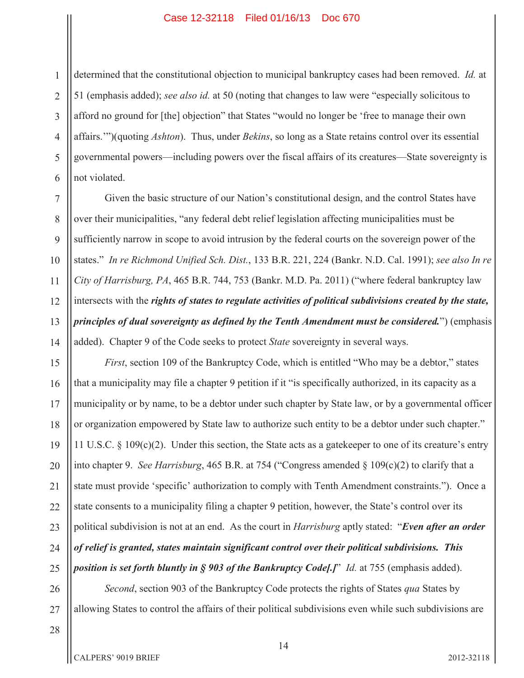1 2 3 4 5 6 determined that the constitutional objection to municipal bankruptcy cases had been removed. *Id.* at 51 (emphasis added); *see also id.* at 50 (noting that changes to law were "especially solicitous to afford no ground for [the] objection" that States "would no longer be 'free to manage their own affairs.'")(quoting *Ashton*). Thus, under *Bekins*, so long as a State retains control over its essential governmental powers—including powers over the fiscal affairs of its creatures—State sovereignty is not violated.

Given the basic structure of our Nation's constitutional design, and the control States have over their municipalities, "any federal debt relief legislation affecting municipalities must be sufficiently narrow in scope to avoid intrusion by the federal courts on the sovereign power of the states." *In re Richmond Unified Sch. Dist.*, 133 B.R. 221, 224 (Bankr. N.D. Cal. 1991); *see also In re City of Harrisburg, PA*, 465 B.R. 744, 753 (Bankr. M.D. Pa. 2011) ("where federal bankruptcy law intersects with the *rights of states to regulate activities of political subdivisions created by the state, principles of dual sovereignty as defined by the Tenth Amendment must be considered.*") (emphasis added). Chapter 9 of the Code seeks to protect *State* sovereignty in several ways.

18 19 20 *First*, section 109 of the Bankruptcy Code, which is entitled "Who may be a debtor," states that a municipality may file a chapter 9 petition if it "is specifically authorized, in its capacity as a municipality or by name, to be a debtor under such chapter by State law, or by a governmental officer or organization empowered by State law to authorize such entity to be a debtor under such chapter." 11 U.S.C. § 109(c)(2). Under this section, the State acts as a gatekeeper to one of its creature's entry into chapter 9. *See Harrisburg*, 465 B.R. at 754 ("Congress amended § 109(c)(2) to clarify that a state must provide 'specific' authorization to comply with Tenth Amendment constraints."). Once a state consents to a municipality filing a chapter 9 petition, however, the State's control over its political subdivision is not at an end. As the court in *Harrisburg* aptly stated: "*Even after an order of relief is granted, states maintain significant control over their political subdivisions. This position is set forth bluntly in § 903 of the Bankruptcy Code[.]*" *Id.* at 755 (emphasis added).

26 27 *Second*, section 903 of the Bankruptcy Code protects the rights of States *qua* States by allowing States to control the affairs of their political subdivisions even while such subdivisions are

28

7

8

9

10

11

12

13

14

15

16

17

21

22

23

24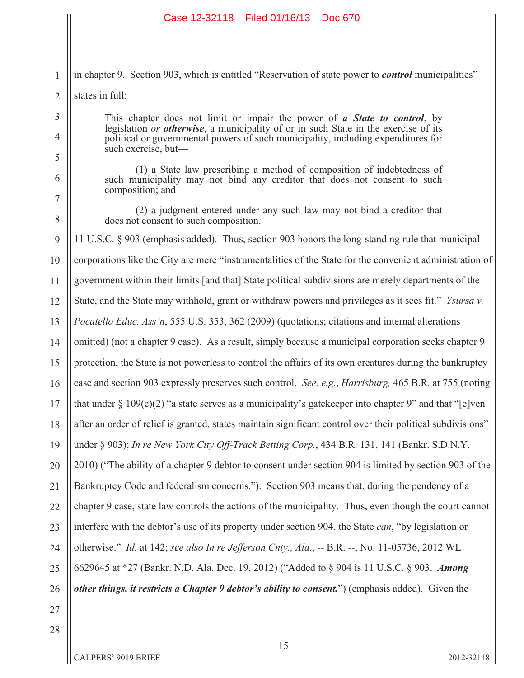|                | Case 12-32118 Filed 01/16/13<br>Doc 670                                                                                                                                                                 |  |  |  |  |
|----------------|---------------------------------------------------------------------------------------------------------------------------------------------------------------------------------------------------------|--|--|--|--|
|                |                                                                                                                                                                                                         |  |  |  |  |
| 1              | in chapter 9. Section 903, which is entitled "Reservation of state power to <i>control</i> municipalities"                                                                                              |  |  |  |  |
| $\overline{2}$ | states in full:                                                                                                                                                                                         |  |  |  |  |
| 3              | This chapter does not limit or impair the power of a State to control, by                                                                                                                               |  |  |  |  |
| 4              | legislation or <b>otherwise</b> , a municipality of or in such State in the exercise of its<br>political or governmental powers of such municipality, including expenditures for<br>such exercise, but- |  |  |  |  |
| 5<br>6<br>7    | (1) a State law prescribing a method of composition of indebtedness of<br>such municipality may not bind any creditor that does not consent to such<br>composition; and                                 |  |  |  |  |
| 8              | (2) a judgment entered under any such law may not bind a creditor that<br>does not consent to such composition.                                                                                         |  |  |  |  |
| 9              | 11 U.S.C. § 903 (emphasis added). Thus, section 903 honors the long-standing rule that municipal                                                                                                        |  |  |  |  |
| 10             | corporations like the City are mere "instrumentalities of the State for the convenient administration of                                                                                                |  |  |  |  |
| 11             | government within their limits [and that] State political subdivisions are merely departments of the                                                                                                    |  |  |  |  |
| 12             | State, and the State may withhold, grant or withdraw powers and privileges as it sees fit." <i>Ysursa v</i> .                                                                                           |  |  |  |  |
| 13             | <i>Pocatello Educ. Ass'n,</i> 555 U.S. 353, 362 (2009) (quotations; citations and internal alterations                                                                                                  |  |  |  |  |
| 14             | omitted) (not a chapter 9 case). As a result, simply because a municipal corporation seeks chapter 9                                                                                                    |  |  |  |  |
| 15             | protection, the State is not powerless to control the affairs of its own creatures during the bankruptcy                                                                                                |  |  |  |  |
| 16             | case and section 903 expressly preserves such control. See, e.g., Harrisburg, 465 B.R. at 755 (noting                                                                                                   |  |  |  |  |
| 17             | that under $\S 109(c)(2)$ "a state serves as a municipality's gate keeper into chapter 9" and that "[e]ven                                                                                              |  |  |  |  |
| 18             | after an order of relief is granted, states maintain significant control over their political subdivisions"                                                                                             |  |  |  |  |
| 19             | under § 903); In re New York City Off-Track Betting Corp., 434 B.R. 131, 141 (Bankr. S.D.N.Y.                                                                                                           |  |  |  |  |
| 20             | 2010) ("The ability of a chapter 9 debtor to consent under section 904 is limited by section 903 of the                                                                                                 |  |  |  |  |
| 21             | Bankruptcy Code and federalism concerns."). Section 903 means that, during the pendency of a                                                                                                            |  |  |  |  |
| 22             | chapter 9 case, state law controls the actions of the municipality. Thus, even though the court cannot                                                                                                  |  |  |  |  |
| 23             | interfere with the debtor's use of its property under section 904, the State <i>can</i> , "by legislation or                                                                                            |  |  |  |  |
| 24             | otherwise." Id. at 142; see also In re Jefferson Cnty., Ala., -- B.R. --, No. 11-05736, 2012 WL                                                                                                         |  |  |  |  |
| 25             | 6629645 at *27 (Bankr. N.D. Ala. Dec. 19, 2012) ("Added to § 904 is 11 U.S.C. § 903. Among                                                                                                              |  |  |  |  |
| 26             | other things, it restricts a Chapter 9 debtor's ability to consent.") (emphasis added). Given the                                                                                                       |  |  |  |  |
| 27             |                                                                                                                                                                                                         |  |  |  |  |
| 28             |                                                                                                                                                                                                         |  |  |  |  |
|                | 15                                                                                                                                                                                                      |  |  |  |  |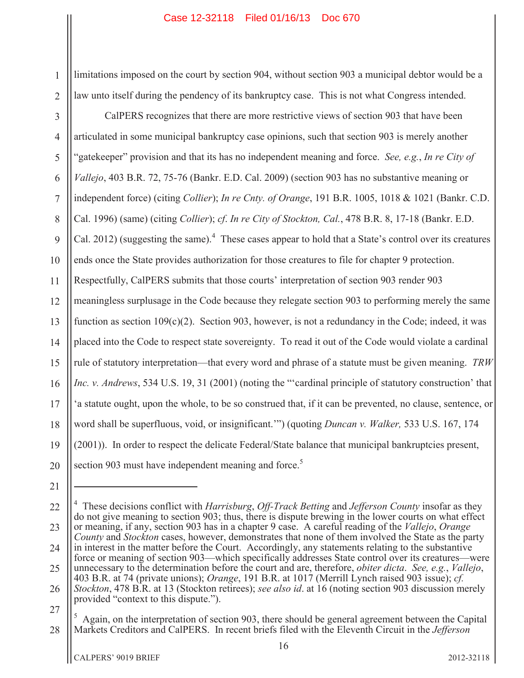limitations imposed on the court by section 904, without section 903 a municipal debtor would be a law unto itself during the pendency of its bankruptcy case. This is not what Congress intended.

3 4 5 6 7 8 9 10 11 12 13 14 15 16 17 18 19 20 CalPERS recognizes that there are more restrictive views of section 903 that have been articulated in some municipal bankruptcy case opinions, such that section 903 is merely another "gatekeeper" provision and that its has no independent meaning and force. *See, e.g.*, *In re City of Vallejo*, 403 B.R. 72, 75-76 (Bankr. E.D. Cal. 2009) (section 903 has no substantive meaning or independent force) (citing *Collier*); *In re Cnty. of Orange*, 191 B.R. 1005, 1018 & 1021 (Bankr. C.D. Cal. 1996) (same) (citing *Collier*); *cf*. *In re City of Stockton, Cal.*, 478 B.R. 8, 17-18 (Bankr. E.D. Cal. 2012) (suggesting the same).<sup>4</sup> These cases appear to hold that a State's control over its creatures ends once the State provides authorization for those creatures to file for chapter 9 protection. Respectfully, CalPERS submits that those courts' interpretation of section 903 render 903 meaningless surplusage in the Code because they relegate section 903 to performing merely the same function as section  $109(c)(2)$ . Section 903, however, is not a redundancy in the Code; indeed, it was placed into the Code to respect state sovereignty. To read it out of the Code would violate a cardinal rule of statutory interpretation—that every word and phrase of a statute must be given meaning. *TRW Inc. v. Andrews*, 534 U.S. 19, 31 (2001) (noting the "'cardinal principle of statutory construction' that 'a statute ought, upon the whole, to be so construed that, if it can be prevented, no clause, sentence, or word shall be superfluous, void, or insignificant.'") (quoting *Duncan v. Walker,* 533 U.S. 167, 174 (2001)). In order to respect the delicate Federal/State balance that municipal bankruptcies present, section 903 must have independent meaning and force.<sup>5</sup>

1

<sup>21</sup>

<sup>22</sup> 23 24 25 26 27 4 These decisions conflict with *Harrisburg*, *Off-Track Betting* and *Jefferson County* insofar as they do not give meaning to section 903; thus, there is dispute brewing in the lower courts on what effect or meaning, if any, section 903 has in a chapter 9 case. A careful reading of the *Vallejo*, *Orange County* and *Stockton* cases, however, demonstrates that none of them involved the State as the party in interest in the matter before the Court. Accordingly, any statements relating to the substantive force or meaning of section 903—which specifically addresses State control over its creatures—were unnecessary to the determination before the court and are, therefore, *obiter dicta*. *See, e.g.*, *Vallejo*, 403 B.R. at 74 (private unions); *Orange*, 191 B.R. at 1017 (Merrill Lynch raised 903 issue); *cf. Stockton*, 478 B.R. at 13 (Stockton retirees); *see also id*. at 16 (noting section 903 discussion merely provided "context to this dispute.").

<sup>28</sup> <sup>5</sup> Again, on the interpretation of section 903, there should be general agreement between the Capital Markets Creditors and CalPERS. In recent briefs filed with the Eleventh Circuit in the *Jefferson*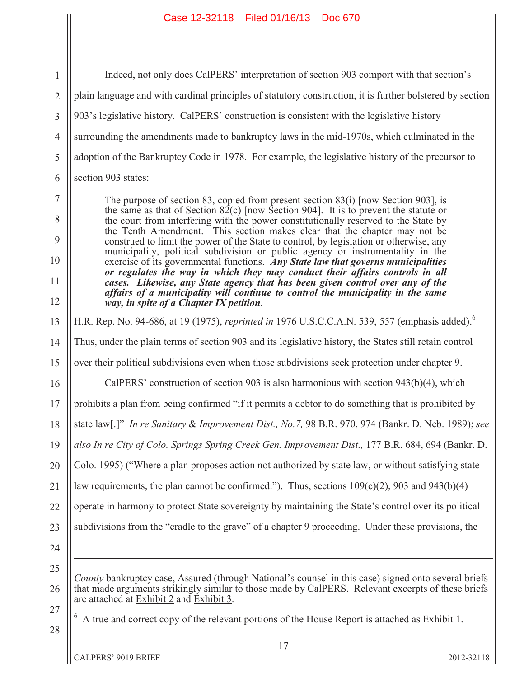1 2 3 4 5 6 7 8 9 10 11 12 13 14 15 16 17 18 19 20 21 22 23 24 25 26 27 28 17 Indeed, not only does CalPERS' interpretation of section 903 comport with that section's plain language and with cardinal principles of statutory construction, it is further bolstered by section 903's legislative history. CalPERS' construction is consistent with the legislative history surrounding the amendments made to bankruptcy laws in the mid-1970s, which culminated in the adoption of the Bankruptcy Code in 1978. For example, the legislative history of the precursor to section 903 states: The purpose of section 83, copied from present section 83(i) [now Section 903], is the same as that of Section  $82(c)$  [now Section 904]. It is to prevent the statute or the court from interfering with the power constitutionally reserved to the State by the Tenth Amendment. This section makes clear that the chapter may not be construed to limit the power of the State to control, by legislation or otherwise, any municipality, political subdivision or public agency or instrumentality in the exercise of its governmental functions. *Any State law that governs municipalities or regulates the way in which they may conduct their affairs controls in all cases. Likewise, any State agency that has been given control over any of the affairs of a municipality will continue to control the municipality in the same way, in spite of a Chapter IX petition.* H.R. Rep. No. 94-686, at 19 (1975), *reprinted in* 1976 U.S.C.C.A.N. 539, 557 (emphasis added).<sup>6</sup> Thus, under the plain terms of section 903 and its legislative history, the States still retain control over their political subdivisions even when those subdivisions seek protection under chapter 9. CalPERS' construction of section 903 is also harmonious with section 943(b)(4), which prohibits a plan from being confirmed "if it permits a debtor to do something that is prohibited by state law[.]" *In re Sanitary* & *Improvement Dist., No.7,* 98 B.R. 970, 974 (Bankr. D. Neb. 1989); *see also In re City of Colo. Springs Spring Creek Gen. Improvement Dist.,* 177 B.R. 684, 694 (Bankr. D. Colo. 1995) ("Where a plan proposes action not authorized by state law, or without satisfying state law requirements, the plan cannot be confirmed."). Thus, sections  $109(c)(2)$ , 903 and 943(b)(4) operate in harmony to protect State sovereignty by maintaining the State's control over its political subdivisions from the "cradle to the grave" of a chapter 9 proceeding. Under these provisions, the *County* bankruptcy case, Assured (through National's counsel in this case) signed onto several briefs that made arguments strikingly similar to those made by CalPERS. Relevant excerpts of these briefs are attached at Exhibit 2 and Exhibit 3. <sup>6</sup> A true and correct copy of the relevant portions of the House Report is attached as Exhibit 1.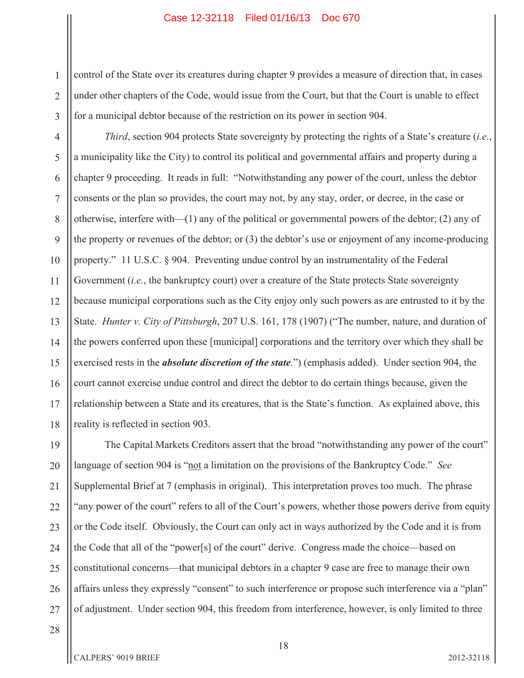1 2 3 control of the State over its creatures during chapter 9 provides a measure of direction that, in cases under other chapters of the Code, would issue from the Court, but that the Court is unable to effect for a municipal debtor because of the restriction on its power in section 904.

4 5 6 7 8 9 10 11 12 13 14 15 16 17 18 *Third*, section 904 protects State sovereignty by protecting the rights of a State's creature (*i.e.*, a municipality like the City) to control its political and governmental affairs and property during a chapter 9 proceeding. It reads in full: "Notwithstanding any power of the court, unless the debtor consents or the plan so provides, the court may not, by any stay, order, or decree, in the case or otherwise, interfere with—(1) any of the political or governmental powers of the debtor; (2) any of the property or revenues of the debtor; or (3) the debtor's use or enjoyment of any income-producing property." 11 U.S.C. § 904. Preventing undue control by an instrumentality of the Federal Government *(i.e., the bankruptcy court)* over a creature of the State protects State sovereignty because municipal corporations such as the City enjoy only such powers as are entrusted to it by the State. *Hunter v. City of Pittsburgh*, 207 U.S. 161, 178 (1907) ("The number, nature, and duration of the powers conferred upon these [municipal] corporations and the territory over which they shall be exercised rests in the *absolute discretion of the state.*") (emphasis added). Under section 904, the court cannot exercise undue control and direct the debtor to do certain things because, given the relationship between a State and its creatures, that is the State's function. As explained above, this reality is reflected in section 903.

19 20 21 22 23 24 25 26 27 The Capital Markets Creditors assert that the broad "notwithstanding any power of the court" language of section 904 is "not a limitation on the provisions of the Bankruptcy Code." *See* Supplemental Brief at 7 (emphasis in original). This interpretation proves too much. The phrase "any power of the court" refers to all of the Court's powers, whether those powers derive from equity or the Code itself. Obviously, the Court can only act in ways authorized by the Code and it is from the Code that all of the "power[s] of the court" derive. Congress made the choice—based on constitutional concerns—that municipal debtors in a chapter 9 case are free to manage their own affairs unless they expressly "consent" to such interference or propose such interference via a "plan" of adjustment. Under section 904, this freedom from interference, however, is only limited to three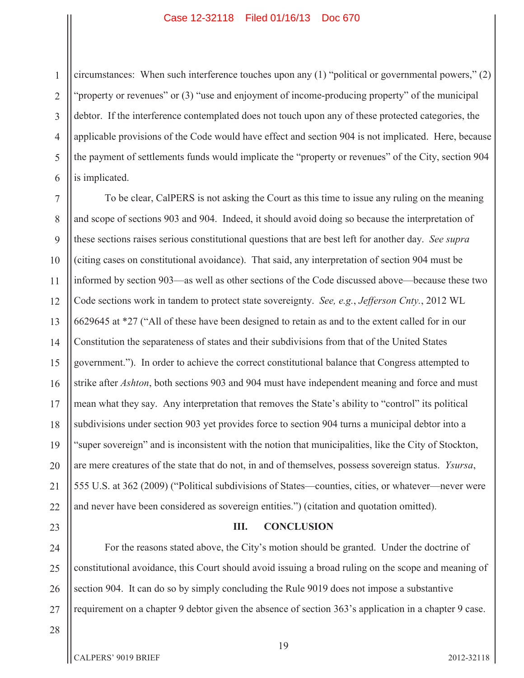1 2 3 4 5 6 circumstances: When such interference touches upon any (1) "political or governmental powers," (2) "property or revenues" or (3) "use and enjoyment of income-producing property" of the municipal debtor. If the interference contemplated does not touch upon any of these protected categories, the applicable provisions of the Code would have effect and section 904 is not implicated. Here, because the payment of settlements funds would implicate the "property or revenues" of the City, section 904 is implicated.

7 8 9 10 11 12 13 14 15 16 17 18 19 20 21 22 To be clear, CalPERS is not asking the Court as this time to issue any ruling on the meaning and scope of sections 903 and 904. Indeed, it should avoid doing so because the interpretation of these sections raises serious constitutional questions that are best left for another day. *See supra*  (citing cases on constitutional avoidance). That said, any interpretation of section 904 must be informed by section 903—as well as other sections of the Code discussed above—because these two Code sections work in tandem to protect state sovereignty. *See, e.g.*, *Jefferson Cnty.*, 2012 WL 6629645 at \*27 ("All of these have been designed to retain as and to the extent called for in our Constitution the separateness of states and their subdivisions from that of the United States government."). In order to achieve the correct constitutional balance that Congress attempted to strike after *Ashton*, both sections 903 and 904 must have independent meaning and force and must mean what they say. Any interpretation that removes the State's ability to "control" its political subdivisions under section 903 yet provides force to section 904 turns a municipal debtor into a "super sovereign" and is inconsistent with the notion that municipalities, like the City of Stockton, are mere creatures of the state that do not, in and of themselves, possess sovereign status. *Ysursa*, 555 U.S. at 362 (2009) ("Political subdivisions of States—counties, cities, or whatever—never were and never have been considered as sovereign entities.") (citation and quotation omitted).

23

24

25

26

27

# For the reasons stated above, the City's motion should be granted. Under the doctrine of constitutional avoidance, this Court should avoid issuing a broad ruling on the scope and meaning of section 904. It can do so by simply concluding the Rule 9019 does not impose a substantive

28

19

requirement on a chapter 9 debtor given the absence of section 363's application in a chapter 9 case.

**III. CONCLUSION**